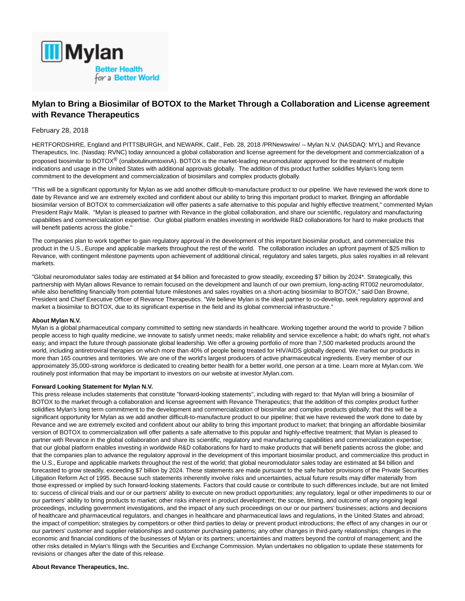

# **Mylan to Bring a Biosimilar of BOTOX to the Market Through a Collaboration and License agreement with Revance Therapeutics**

## February 28, 2018

HERTFORDSHIRE, England and PITTSBURGH, and NEWARK, Calif., Feb. 28, 2018 /PRNewswire/ -- Mylan N.V. (NASDAQ: MYL) and Revance Therapeutics, Inc. (Nasdaq: RVNC) today announced a global collaboration and license agreement for the development and commercialization of a proposed biosimilar to BOTOX<sup>®</sup> (onabotulinumtoxinA). BOTOX is the market-leading neuromodulator approved for the treatment of multiple indications and usage in the United States with additional approvals globally. The addition of this product further solidifies Mylan's long term commitment to the development and commercialization of biosimilars and complex products globally.

"This will be a significant opportunity for Mylan as we add another difficult-to-manufacture product to our pipeline. We have reviewed the work done to date by Revance and we are extremely excited and confident about our ability to bring this important product to market. Bringing an affordable biosimilar version of BOTOX to commercialization will offer patients a safe alternative to this popular and highly effective treatment," commented Mylan President Rajiv Malik. "Mylan is pleased to partner with Revance in the global collaboration, and share our scientific, regulatory and manufacturing capabilities and commercialization expertise. Our global platform enables investing in worldwide R&D collaborations for hard to make products that will benefit patients across the globe."

The companies plan to work together to gain regulatory approval in the development of this important biosimilar product, and commercialize this product in the U.S., Europe and applicable markets throughout the rest of the world. The collaboration includes an upfront payment of \$25 million to Revance, with contingent milestone payments upon achievement of additional clinical, regulatory and sales targets, plus sales royalties in all relevant markets.

"Global neuromodulator sales today are estimated at \$4 billion and forecasted to grow steadily, exceeding \$7 billion by 2024\*. Strategically, this partnership with Mylan allows Revance to remain focused on the development and launch of our own premium, long-acting RT002 neuromodulator, while also benefitting financially from potential future milestones and sales royalties on a short-acting biosimilar to BOTOX," said Dan Browne, President and Chief Executive Officer of Revance Therapeutics. "We believe Mylan is the ideal partner to co-develop, seek regulatory approval and market a biosimilar to BOTOX, due to its significant expertise in the field and its global commercial infrastructure."

## **About Mylan N.V.**

Mylan is a global pharmaceutical company committed to setting new standards in healthcare. Working together around the world to provide 7 billion people access to high quality medicine, we innovate to satisfy unmet needs; make reliability and service excellence a habit; do what's right, not what's easy; and impact the future through passionate global leadership. We offer a growing portfolio of more than 7,500 marketed products around the world, including antiretroviral therapies on which more than 40% of people being treated for HIV/AIDS globally depend. We market our products in more than 165 countries and territories. We are one of the world's largest producers of active pharmaceutical ingredients. Every member of our approximately 35,000-strong workforce is dedicated to creating better health for a better world, one person at a time. Learn more at Mylan.com. We routinely post information that may be important to investors on our website at investor.Mylan.com.

#### **Forward Looking Statement for Mylan N.V.**

This press release includes statements that constitute "forward-looking statements", including with regard to: that Mylan will bring a biosimilar of BOTOX to the market through a collaboration and license agreement with Revance Therapeutics; that the addition of this complex product further solidifies Mylan's long term commitment to the development and commercialization of biosimilar and complex products globally; that this will be a significant opportunity for Mylan as we add another difficult-to-manufacture product to our pipeline; that we have reviewed the work done to date by Revance and we are extremely excited and confident about our ability to bring this important product to market; that bringing an affordable biosimilar version of BOTOX to commercialization will offer patients a safe alternative to this popular and highly-effective treatment; that Mylan is pleased to partner with Revance in the global collaboration and share its scientific, regulatory and manufacturing capabilities and commercialization expertise; that our global platform enables investing in worldwide R&D collaborations for hard to make products that will benefit patients across the globe; and that the companies plan to advance the regulatory approval in the development of this important biosimilar product, and commercialize this product in the U.S., Europe and applicable markets throughout the rest of the world; that global neuromodulator sales today are estimated at \$4 billion and forecasted to grow steadily, exceeding \$7 billion by 2024. These statements are made pursuant to the safe harbor provisions of the Private Securities Litigation Reform Act of 1995. Because such statements inherently involve risks and uncertainties, actual future results may differ materially from those expressed or implied by such forward-looking statements. Factors that could cause or contribute to such differences include, but are not limited to: success of clinical trials and our or our partners' ability to execute on new product opportunities; any regulatory, legal or other impediments to our or our partners' ability to bring products to market; other risks inherent in product development; the scope, timing, and outcome of any ongoing legal proceedings, including government investigations, and the impact of any such proceedings on our or our partners' businesses; actions and decisions of healthcare and pharmaceutical regulators, and changes in healthcare and pharmaceutical laws and regulations, in the United States and abroad; the impact of competition; strategies by competitors or other third parties to delay or prevent product introductions; the effect of any changes in our or our partners' customer and supplier relationships and customer purchasing patterns; any other changes in third-party relationships; changes in the economic and financial conditions of the businesses of Mylan or its partners; uncertainties and matters beyond the control of management; and the other risks detailed in Mylan's filings with the Securities and Exchange Commission. Mylan undertakes no obligation to update these statements for revisions or changes after the date of this release.

## **About Revance Therapeutics, Inc.**